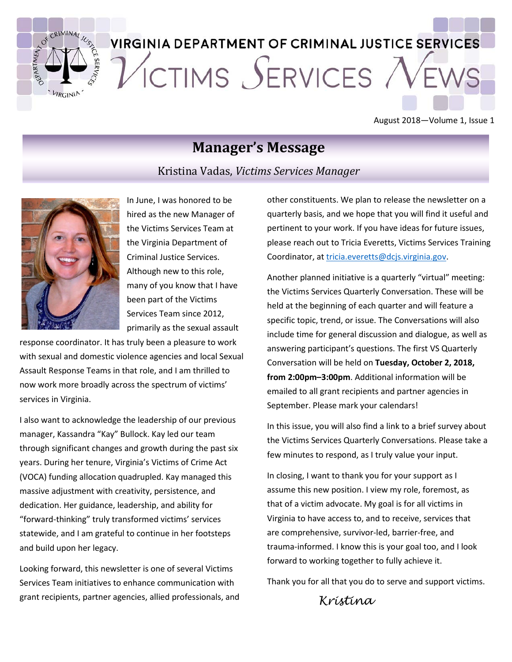

# **VIRGINIA DEPARTMENT OF CRIMINAL JUSTICE SERVICES** ICTIMS SERVICES

August 2018—Volume 1, Issue 1

### **Manager's Message**

Kristina Vadas, *Victims Services Manager*



In June, I was honored to be hired as the new Manager of the Victims Services Team at the Virginia Department of Criminal Justice Services. Although new to this role, many of you know that I have been part of the Victims Services Team since 2012, primarily as the sexual assault

response coordinator. It has truly been a pleasure to work with sexual and domestic violence agencies and local Sexual Assault Response Teams in that role, and I am thrilled to now work more broadly across the spectrum of victims' services in Virginia.

I also want to acknowledge the leadership of our previous manager, Kassandra "Kay" Bullock. Kay led our team through significant changes and growth during the past six years. During her tenure, Virginia's Victims of Crime Act (VOCA) funding allocation quadrupled. Kay managed this massive adjustment with creativity, persistence, and dedication. Her guidance, leadership, and ability for "forward-thinking" truly transformed victims' services statewide, and I am grateful to continue in her footsteps and build upon her legacy.

Looking forward, this newsletter is one of several Victims Services Team initiatives to enhance communication with grant recipients, partner agencies, allied professionals, and other constituents. We plan to release the newsletter on a quarterly basis, and we hope that you will find it useful and pertinent to your work. If you have ideas for future issues, please reach out to Tricia Everetts, Victims Services Training Coordinator, at [tricia.everetts@dcjs.virginia.gov.](mailto:tricia.everetts@dcjs.virginia.gov)

Another planned initiative is a quarterly "virtual" meeting: the Victims Services Quarterly Conversation. These will be held at the beginning of each quarter and will feature a specific topic, trend, or issue. The Conversations will also include time for general discussion and dialogue, as well as answering participant's questions. The first VS Quarterly Conversation will be held on **Tuesday, October 2, 2018, from 2:00pm–3:00pm**. Additional information will be emailed to all grant recipients and partner agencies in September. Please mark your calendars!

In this issue, you will also find a link to a brief survey about the Victims Services Quarterly Conversations. Please take a few minutes to respond, as I truly value your input.

In closing, I want to thank you for your support as I assume this new position. I view my role, foremost, as that of a victim advocate. My goal is for all victims in Virginia to have access to, and to receive, services that are comprehensive, survivor-led, barrier-free, and trauma-informed. I know this is your goal too, and I look forward to working together to fully achieve it.

Thank you for all that you do to serve and support victims.

 *Kristina*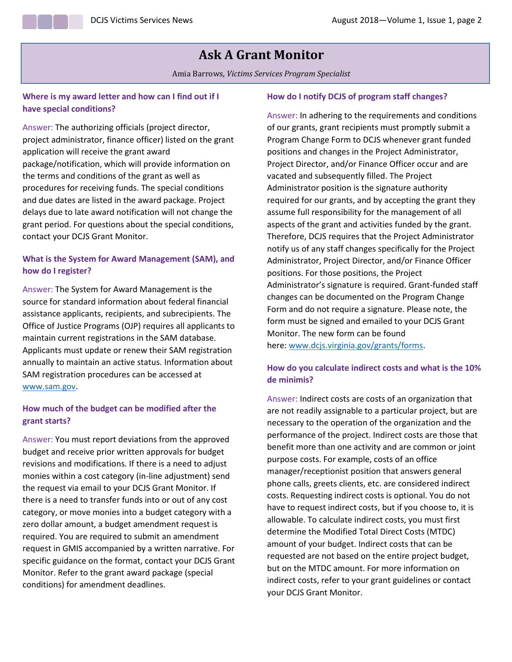### **Ask A Grant Monitor**

Amia Barrows, *Victims Services Program Specialist*

### **Where is my award letter and how can I find out if I have special conditions?**

Answer: The authorizing officials (project director, project administrator, finance officer) listed on the grant application will receive the grant award package/notification, which will provide information on the terms and conditions of the grant as well as procedures for receiving funds. The special conditions and due dates are listed in the award package. Project delays due to late award notification will not change the grant period. For questions about the special conditions, contact your DCJS Grant Monitor.

### **What is the System for Award Management (SAM), and how do I register?**

Answer: The System for Award Management is the source for standard information about federal financial assistance applicants, recipients, and subrecipients. The Office of Justice Programs (OJP) requires all applicants to maintain current registrations in the SAM database. Applicants must update or renew their SAM registration annually to maintain an active status. Information about SAM registration procedures can be accessed at [www.sam.gov.](http://www.sam.gov/)

### **How much of the budget can be modified after the grant starts?**

Answer: You must report deviations from the approved budget and receive prior written approvals for budget revisions and modifications. If there is a need to adjust monies within a cost category (in-line adjustment) send the request via email to your DCJS Grant Monitor. If there is a need to transfer funds into or out of any cost category, or move monies into a budget category with a zero dollar amount, a budget amendment request is required. You are required to submit an amendment request in GMIS accompanied by a written narrative. For specific guidance on the format, contact your DCJS Grant Monitor. Refer to the grant award package (special conditions) for amendment deadlines.

### **How do I notify DCJS of program staff changes?**

Answer: In adhering to the requirements and conditions of our grants, grant recipients must promptly submit a Program Change Form to DCJS whenever grant funded positions and changes in the Project Administrator, Project Director, and/or Finance Officer occur and are vacated and subsequently filled. The Project Administrator position is the signature authority required for our grants, and by accepting the grant they assume full responsibility for the management of all aspects of the grant and activities funded by the grant. Therefore, DCJS requires that the Project Administrator notify us of any staff changes specifically for the Project Administrator, Project Director, and/or Finance Officer positions. For those positions, the Project Administrator's signature is required. Grant-funded staff changes can be documented on the Program Change Form and do not require a signature. Please note, the form must be signed and emailed to your DCJS Grant Monitor. The new form can be found here: [www.dcjs.virginia.gov/grants/forms.](http://www.dcjs.virginia.gov/grants/forms)

### **How do you calculate indirect costs and what is the 10% de minimis?**

Answer: Indirect costs are costs of an organization that are not readily assignable to a particular project, but are necessary to the operation of the organization and the performance of the project. Indirect costs are those that benefit more than one activity and are common or joint purpose costs. For example, costs of an office manager/receptionist position that answers general phone calls, greets clients, etc. are considered indirect costs. Requesting indirect costs is optional. You do not have to request indirect costs, but if you choose to, it is allowable. To calculate indirect costs, you must first determine the Modified Total Direct Costs (MTDC) amount of your budget. Indirect costs that can be requested are not based on the entire project budget, but on the MTDC amount. For more information on indirect costs, refer to your grant guidelines or contact your DCJS Grant Monitor.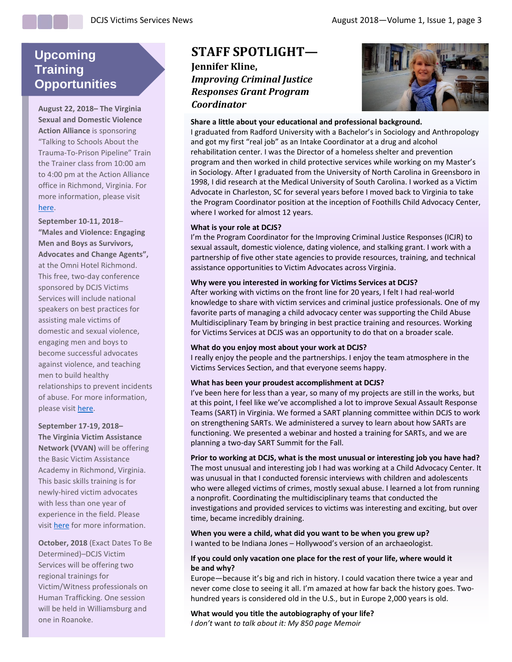### **Upcoming Training Opportunities**

**August 22, 2018– The Virginia Sexual and Domestic Violence Action Alliance** is sponsoring "Talking to Schools About the Trauma-To-Prison Pipeline" Train the Trainer class from 10:00 am to 4:00 pm at the Action Alliance office in Richmond, Virginia. For more information, please visit [here.](https://actionalliance.salsalabs.org/traumatoprisonpipeline/index.html)

**September 10-11, 2018**– **"Males and Violence: Engaging Men and Boys as Survivors, Advocates and Change Agents",**

at the Omni Hotel Richmond. This free, two-day conference sponsored by DCJS Victims Services will include national speakers on best practices for assisting male victims of domestic and sexual violence, engaging men and boys to become successful advocates against violence, and teaching men to build healthy relationships to prevent incidents of abuse. For more information, please visit [here.](https://www.dcjs.virginia.gov/content/males-and-violence-engaging-men-and-boys-survivors-advocates-and-change-agents)

**September 17-19, 2018– The Virginia Victim Assistance Network (VVAN)** will be offering the Basic Victim Assistance Academy in Richmond, Virginia. This basic skills training is for newly-hired victim advocates with less than one year of experience in the field. Please visi[t here](http://vanetwork.org/events/) for more information.

**October, 2018** (Exact Dates To Be Determined)–DCJS Victim Services will be offering two regional trainings for Victim/Witness professionals on Human Trafficking. One session will be held in Williamsburg and one in Roanoke.

### **STAFF SPOTLIGHT—**

**Jennifer Kline,**  *Improving Criminal Justice Responses Grant Program Coordinator*



#### **Share a little about your educational and professional background.**

I graduated from Radford University with a Bachelor's in Sociology and Anthropology and got my first "real job" as an Intake Coordinator at a drug and alcohol rehabilitation center. I was the Director of a homeless shelter and prevention program and then worked in child protective services while working on my Master's in Sociology. After I graduated from the University of North Carolina in Greensboro in 1998, I did research at the Medical University of South Carolina. I worked as a Victim Advocate in Charleston, SC for several years before I moved back to Virginia to take the Program Coordinator position at the inception of Foothills Child Advocacy Center, where I worked for almost 12 years.

#### **What is your role at DCJS?**

I'm the Program Coordinator for the Improving Criminal Justice Responses (ICJR) to sexual assault, domestic violence, dating violence, and stalking grant. I work with a partnership of five other state agencies to provide resources, training, and technical assistance opportunities to Victim Advocates across Virginia.

#### **Why were you interested in working for Victims Services at DCJS?**

After working with victims on the front line for 20 years, I felt I had real-world knowledge to share with victim services and criminal justice professionals. One of my favorite parts of managing a child advocacy center was supporting the Child Abuse Multidisciplinary Team by bringing in best practice training and resources. Working for Victims Services at DCJS was an opportunity to do that on a broader scale.

#### **What do you enjoy most about your work at DCJS?**

I really enjoy the people and the partnerships. I enjoy the team atmosphere in the Victims Services Section, and that everyone seems happy.

#### **What has been your proudest accomplishment at DCJS?**

I've been here for less than a year, so many of my projects are still in the works, but at this point, I feel like we've accomplished a lot to improve Sexual Assault Response Teams (SART) in Virginia. We formed a SART planning committee within DCJS to work on strengthening SARTs. We administered a survey to learn about how SARTs are functioning. We presented a webinar and hosted a training for SARTs, and we are planning a two-day SART Summit for the Fall.

**Prior to working at DCJS, what is the most unusual or interesting job you have had?** The most unusual and interesting job I had was working at a Child Advocacy Center. It was unusual in that I conducted forensic interviews with children and adolescents who were alleged victims of crimes, mostly sexual abuse. I learned a lot from running a nonprofit. Coordinating the multidisciplinary teams that conducted the investigations and provided services to victims was interesting and exciting, but over time, became incredibly draining.

**When you were a child, what did you want to be when you grew up?** I wanted to be Indiana Jones – Hollywood's version of an archaeologist.

#### **If you could only vacation one place for the rest of your life, where would it be and why?**

Europe—because it's big and rich in history. I could vacation there twice a year and never come close to seeing it all. I'm amazed at how far back the history goes. Twohundred years is considered old in the U.S., but in Europe 2,000 years is old.

### **What would you title the autobiography of your life?**

*I don't* want *to talk about it: My 850 page Memoir*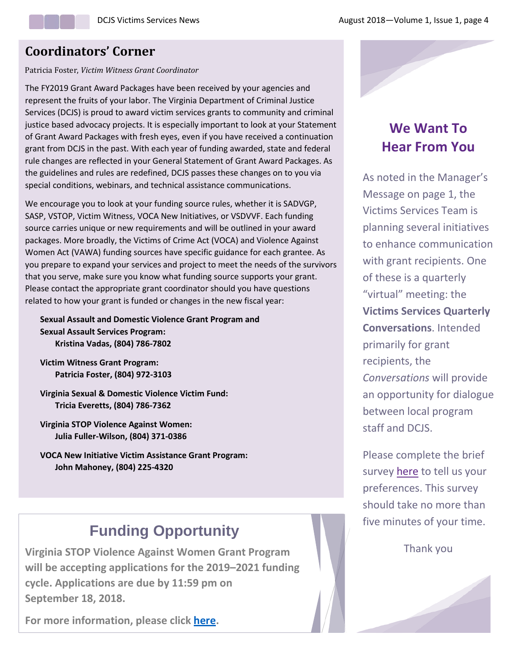### **Coordinators' Corner**

Patricia Foster, *Victim Witness Grant Coordinator*

The FY2019 Grant Award Packages have been received by your agencies and represent the fruits of your labor. The Virginia Department of Criminal Justice Services (DCJS) is proud to award victim services grants to community and criminal justice based advocacy projects. It is especially important to look at your Statement of Grant Award Packages with fresh eyes, even if you have received a continuation grant from DCJS in the past. With each year of funding awarded, state and federal rule changes are reflected in your General Statement of Grant Award Packages. As the guidelines and rules are redefined, DCJS passes these changes on to you via special conditions, webinars, and technical assistance communications.

We encourage you to look at your funding source rules, whether it is SADVGP, SASP, VSTOP, Victim Witness, VOCA New Initiatives, or VSDVVF. Each funding source carries unique or new requirements and will be outlined in your award packages. More broadly, the Victims of Crime Act (VOCA) and Violence Against Women Act (VAWA) funding sources have specific guidance for each grantee. As you prepare to expand your services and project to meet the needs of the survivors that you serve, make sure you know what funding source supports your grant. Please contact the appropriate grant coordinator should you have questions related to how your grant is funded or changes in the new fiscal year:

**Sexual Assault and Domestic Violence Grant Program and Sexual Assault Services Program: Kristina Vadas, (804) 786-7802**

**Victim Witness Grant Program: Patricia Foster, (804) 972-3103**

**Virginia Sexual & Domestic Violence Victim Fund: Tricia Everetts, (804) 786-7362**

**Virginia STOP Violence Against Women: Julia Fuller-Wilson, (804) 371-0386**

**VOCA New Initiative Victim Assistance Grant Program: John Mahoney, (804) 225-4320**

# **Funding Opportunity**

**Virginia STOP Violence Against Women Grant Program will be accepting applications for the 2019–2021 funding cycle. Applications are due by 11:59 pm on September 18, 2018.**

**For more information, please click [here.](http://www.dcjs.virginia.gov/grants/programs/cy-2019-2021-violence-against-women-v-stop)**

## **We Want To Hear From You**

As noted in the Manager's Message on page 1, the Victims Services Team is planning several initiatives to enhance communication with grant recipients. One of these is a quarterly "virtual" meeting: the **Victims Services Quarterly Conversations**. Intended primarily for grant recipients, the *Conversations* will provide an opportunity for dialogue between local program staff and DCJS.

Please complete the brief survey [here](https://www.surveymonkey.com/r/RMHHHWK) to tell us your preferences. This survey should take no more than five minutes of your time.

Thank you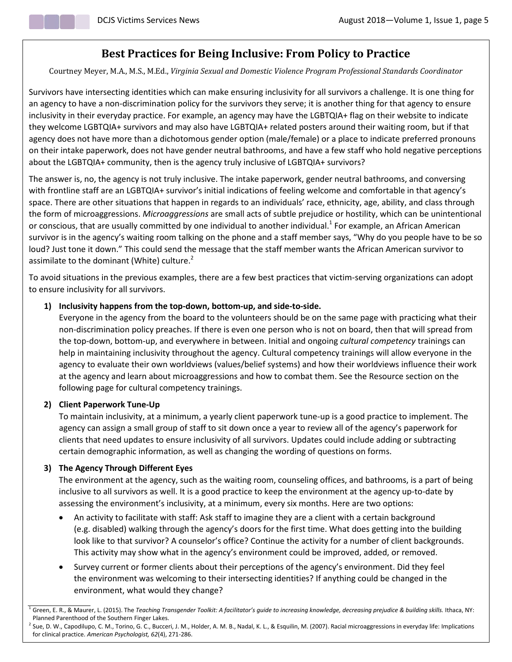### **Best Practices for Being Inclusive: From Policy to Practice**

Courtney Meyer, M.A., M.S., M.Ed., *Virginia Sexual and Domestic Violence Program Professional Standards Coordinator*

Survivors have intersecting identities which can make ensuring inclusivity for all survivors a challenge. It is one thing for an agency to have a non-discrimination policy for the survivors they serve; it is another thing for that agency to ensure inclusivity in their everyday practice. For example, an agency may have the LGBTQIA+ flag on their website to indicate they welcome LGBTQIA+ survivors and may also have LGBTQIA+ related posters around their waiting room, but if that agency does not have more than a dichotomous gender option (male/female) or a place to indicate preferred pronouns on their intake paperwork, does not have gender neutral bathrooms, and have a few staff who hold negative perceptions about the LGBTQIA+ community, then is the agency truly inclusive of LGBTQIA+ survivors?

The answer is, no, the agency is not truly inclusive. The intake paperwork, gender neutral bathrooms, and conversing with frontline staff are an LGBTQIA+ survivor's initial indications of feeling welcome and comfortable in that agency's space. There are other situations that happen in regards to an individuals' race, ethnicity, age, ability, and class through the form of microaggressions. *Microaggressions* are small acts of subtle prejudice or hostility, which can be unintentional or conscious, that are usually committed by one individual to another individual.<sup>1</sup> For example, an African American survivor is in the agency's waiting room talking on the phone and a staff member says, "Why do you people have to be so loud? Just tone it down." This could send the message that the staff member wants the African American survivor to assimilate to the dominant (White) culture. $2^2$ 

To avoid situations in the previous examples, there are a few best practices that victim-serving organizations can adopt to ensure inclusivity for all survivors.

### **1) Inclusivity happens from the top-down, bottom-up, and side-to-side.**

Everyone in the agency from the board to the volunteers should be on the same page with practicing what their non-discrimination policy preaches. If there is even one person who is not on board, then that will spread from the top-down, bottom-up, and everywhere in between. Initial and ongoing *cultural competency* trainings can help in maintaining inclusivity throughout the agency. Cultural competency trainings will allow everyone in the agency to evaluate their own worldviews (values/belief systems) and how their worldviews influence their work at the agency and learn about microaggressions and how to combat them. See the Resource section on the following page for cultural competency trainings.

#### **2) Client Paperwork Tune-Up**

To maintain inclusivity, at a minimum, a yearly client paperwork tune-up is a good practice to implement. The agency can assign a small group of staff to sit down once a year to review all of the agency's paperwork for clients that need updates to ensure inclusivity of all survivors. Updates could include adding or subtracting certain demographic information, as well as changing the wording of questions on forms.

### **3) The Agency Through Different Eyes**

The environment at the agency, such as the waiting room, counseling offices, and bathrooms, is a part of being inclusive to all survivors as well. It is a good practice to keep the environment at the agency up-to-date by assessing the environment's inclusivity, at a minimum, every six months. Here are two options:

- An activity to facilitate with staff: Ask staff to imagine they are a client with a certain background (e.g. disabled) walking through the agency's doors for the first time. What does getting into the building look like to that survivor? A counselor's office? Continue the activity for a number of client backgrounds. This activity may show what in the agency's environment could be improved, added, or removed.
- Survey current or former clients about their perceptions of the agency's environment. Did they feel the environment was welcoming to their intersecting identities? If anything could be changed in the environment, what would they change?

<sup>1</sup> Green, E. R., & Maurer, L. (2015). The *Teaching Transgender Toolkit: A facilitator's guide to increasing knowledge, decreasing prejudice & building skills.* Ithaca, NY: Planned Parenthood of the Southern Finger Lakes.

 $^2$  Sue, D. W., Capodilupo, C. M., Torino, G. C., Bucceri, J. M., Holder, A. M. B., Nadal, K. L., & Esquilin, M. (2007). Racial microaggressions in everyday life: Implications for clinical practice. *American Psychologist, 62*(4), 271-286.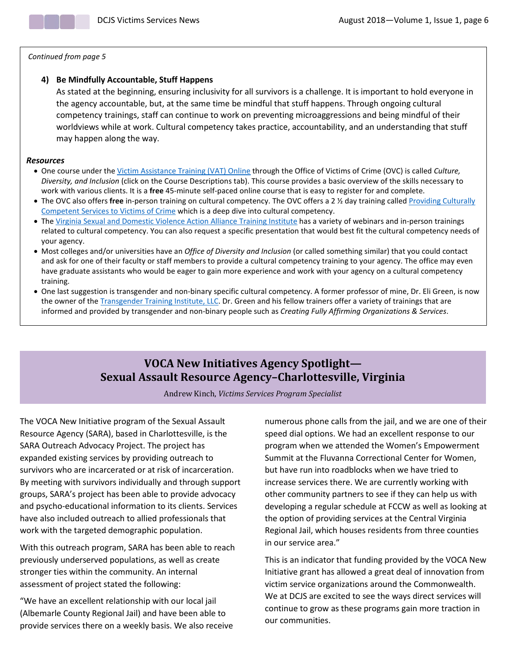*Continued from page 5*

### **4) Be Mindfully Accountable, Stuff Happens**

As stated at the beginning, ensuring inclusivity for all survivors is a challenge. It is important to hold everyone in the agency accountable, but, at the same time be mindful that stuff happens. Through ongoing cultural competency trainings, staff can continue to work on preventing microaggressions and being mindful of their worldviews while at work. Cultural competency takes practice, accountability, and an understanding that stuff may happen along the way.

#### *Resources*

- One course under the [Victim Assistance Training \(VAT\) Online](https://www.ovcttac.gov/views/TrainingMaterials/dspOnline_VATOnline.cfm) through the Office of Victims of Crime (OVC) is called *Culture, Diversity, and Inclusion* (click on the Course Descriptions tab). This course provides a basic overview of the skills necessary to work with various clients. It is a **free** 45-minute self-paced online course that is easy to register for and complete.
- The OVC also offers **free** in-person training on cultural competency. The OVC offers a 2 ½ day training called [Providing Culturally](https://www.ovcttac.gov/views/TrainingMaterials/dspCulturalCompetentServices.cfm)  [Competent Services to Victims of Crime](https://www.ovcttac.gov/views/TrainingMaterials/dspCulturalCompetentServices.cfm) which is a deep dive into cultural competency.
- The [Virginia Sexual and Domestic Violence Action Alliance Training Institute](https://alliancetrainingsite.wordpress.com/) has a variety of webinars and in-person trainings related to cultural competency. You can also request a specific presentation that would best fit the cultural competency needs of your agency.
- Most colleges and/or universities have an *Office of Diversity and Inclusion* (or called something similar) that you could contact and ask for one of their faculty or staff members to provide a cultural competency training to your agency. The office may even have graduate assistants who would be eager to gain more experience and work with your agency on a cultural competency training.
- One last suggestion is transgender and non-binary specific cultural competency. A former professor of mine, Dr. Eli Green, is now the owner of the [Transgender Training Institute, LLC.](http://www.transgendertraininginstitute.com/services/training/) Dr. Green and his fellow trainers offer a variety of trainings that are informed and provided by transgender and non-binary people such as *Creating Fully Affirming Organizations & Services*.

### **VOCA New Initiatives Agency Spotlight— Sexual Assault Resource Agency–Charlottesville, Virginia**

Andrew Kinch, *Victims Services Program Specialist*

The VOCA New Initiative program of the Sexual Assault Resource Agency (SARA), based in Charlottesville, is the SARA Outreach Advocacy Project. The project has expanded existing services by providing outreach to survivors who are incarcerated or at risk of incarceration. By meeting with survivors individually and through support groups, SARA's project has been able to provide advocacy and psycho-educational information to its clients. Services have also included outreach to allied professionals that work with the targeted demographic population.

With this outreach program, SARA has been able to reach previously underserved populations, as well as create stronger ties within the community. An internal assessment of project stated the following:

"We have an excellent relationship with our local jail (Albemarle County Regional Jail) and have been able to provide services there on a weekly basis. We also receive numerous phone calls from the jail, and we are one of their speed dial options. We had an excellent response to our program when we attended the Women's Empowerment Summit at the Fluvanna Correctional Center for Women, but have run into roadblocks when we have tried to increase services there. We are currently working with other community partners to see if they can help us with developing a regular schedule at FCCW as well as looking at the option of providing services at the Central Virginia Regional Jail, which houses residents from three counties in our service area."

This is an indicator that funding provided by the VOCA New Initiative grant has allowed a great deal of innovation from victim service organizations around the Commonwealth. We at DCJS are excited to see the ways direct services will continue to grow as these programs gain more traction in our communities.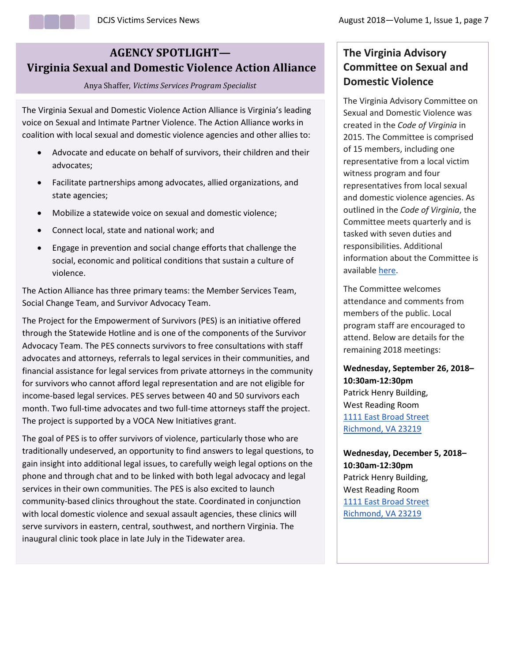### **AGENCY SPOTLIGHT— Virginia Sexual and Domestic Violence Action Alliance**

#### Anya Shaffer, *Victims Services Program Specialist*

The Virginia Sexual and Domestic Violence Action Alliance is Virginia's leading voice on Sexual and Intimate Partner Violence. The Action Alliance works in coalition with local sexual and domestic violence agencies and other allies to:

- Advocate and educate on behalf of survivors, their children and their advocates;
- Facilitate partnerships among advocates, allied organizations, and state agencies;
- Mobilize a statewide voice on sexual and domestic violence;
- Connect local, state and national work; and
- Engage in prevention and social change efforts that challenge the social, economic and political conditions that sustain a culture of violence.

The Action Alliance has three primary teams: the Member Services Team, Social Change Team, and Survivor Advocacy Team.

The Project for the Empowerment of Survivors (PES) is an initiative offered through the Statewide Hotline and is one of the components of the Survivor Advocacy Team. The PES connects survivors to free consultations with staff advocates and attorneys, referrals to legal services in their communities, and financial assistance for legal services from private attorneys in the community for survivors who cannot afford legal representation and are not eligible for income-based legal services. PES serves between 40 and 50 survivors each month. Two full-time advocates and two full-time attorneys staff the project. The project is supported by a VOCA New Initiatives grant.

The goal of PES is to offer survivors of violence, particularly those who are traditionally undeserved, an opportunity to find answers to legal questions, to gain insight into additional legal issues, to carefully weigh legal options on the phone and through chat and to be linked with both legal advocacy and legal services in their own communities. The PES is also excited to launch community-based clinics throughout the state. Coordinated in conjunction with local domestic violence and sexual assault agencies, these clinics will serve survivors in eastern, central, southwest, and northern Virginia. The inaugural clinic took place in late July in the Tidewater area.

### **The Virginia Advisory Committee on Sexual and Domestic Violence**

The Virginia Advisory Committee on Sexual and Domestic Violence was created in the *Code of Virginia* in 2015. The Committee is comprised of 15 members, including one representative from a local victim witness program and four representatives from local sexual and domestic violence agencies. As outlined in the *Code of Virginia*, the Committee meets quarterly and is tasked with seven duties and responsibilities. Additional information about the Committee is available [here.](https://law.lis.virginia.gov/vacode/title9.1/chapter1/section9.1-116.2/)

The Committee welcomes attendance and comments from members of the public. Local program staff are encouraged to attend. Below are details for the remaining 2018 meetings:

**Wednesday, September 26, 2018– 10:30am-12:30pm** Patrick Henry Building, West Reading Room [1111 East Broad Street](https://maps.google.com/?q=1111+East+Broad+Street+Richmond+,+%C2%A0+VA+%C2%A0+23219&entry=gmail&source=g) [Richmond,](https://maps.google.com/?q=1111+East+Broad+Street+Richmond+,+%C2%A0+VA+%C2%A0+23219&entry=gmail&source=g) [VA](https://maps.google.com/?q=1111+East+Broad+Street+Richmond+,+%C2%A0+VA+%C2%A0+23219&entry=gmail&source=g) [23219](https://maps.google.com/?q=1111+East+Broad+Street+Richmond+,+%C2%A0+VA+%C2%A0+23219&entry=gmail&source=g)

**Wednesday, December 5, 2018– 10:30am-12:30pm** Patrick Henry Building, West Reading Room [1111 East Broad Street](https://maps.google.com/?q=1111+East+Broad+Street+Richmond+,%C2%A0+VA+%C2%A0+23219&entry=gmail&source=g) Richmond, VA 23219